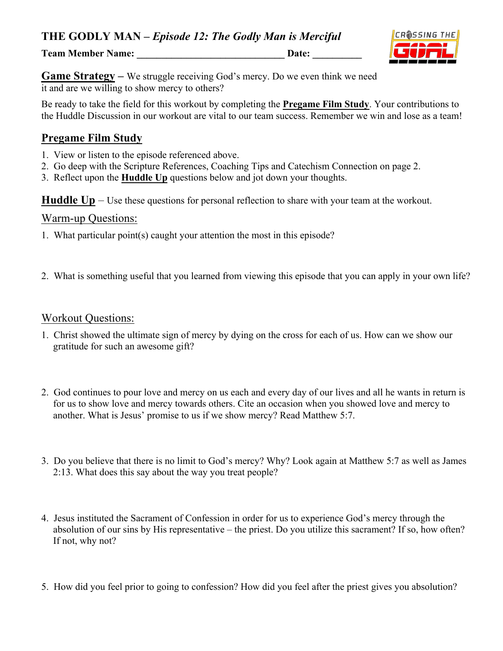**Team Member Name: \_\_\_\_\_\_\_\_\_\_\_\_\_\_\_\_\_\_\_\_\_\_\_\_\_\_\_\_\_\_ Date: \_\_\_\_\_\_\_\_\_\_**



**Game Strategy** – We struggle receiving God's mercy. Do we even think we need it and are we willing to show mercy to others?

Be ready to take the field for this workout by completing the **Pregame Film Study**. Your contributions to the Huddle Discussion in our workout are vital to our team success. Remember we win and lose as a team!

# **Pregame Film Study**

- 1. View or listen to the episode referenced above.
- 2. Go deep with the Scripture References, Coaching Tips and Catechism Connection on page 2.
- 3. Reflect upon the **Huddle Up** questions below and jot down your thoughts.

**Huddle Up** – Use these questions for personal reflection to share with your team at the workout.

#### Warm-up Questions:

- 1. What particular point(s) caught your attention the most in this episode?
- 2. What is something useful that you learned from viewing this episode that you can apply in your own life?

#### Workout Questions:

- 1. Christ showed the ultimate sign of mercy by dying on the cross for each of us. How can we show our gratitude for such an awesome gift?
- 2. God continues to pour love and mercy on us each and every day of our lives and all he wants in return is for us to show love and mercy towards others. Cite an occasion when you showed love and mercy to another. What is Jesus' promise to us if we show mercy? Read Matthew 5:7.
- 3. Do you believe that there is no limit to God's mercy? Why? Look again at Matthew 5:7 as well as James 2:13. What does this say about the way you treat people?
- 4. Jesus instituted the Sacrament of Confession in order for us to experience God's mercy through the absolution of our sins by His representative – the priest. Do you utilize this sacrament? If so, how often? If not, why not?
- 5. How did you feel prior to going to confession? How did you feel after the priest gives you absolution?